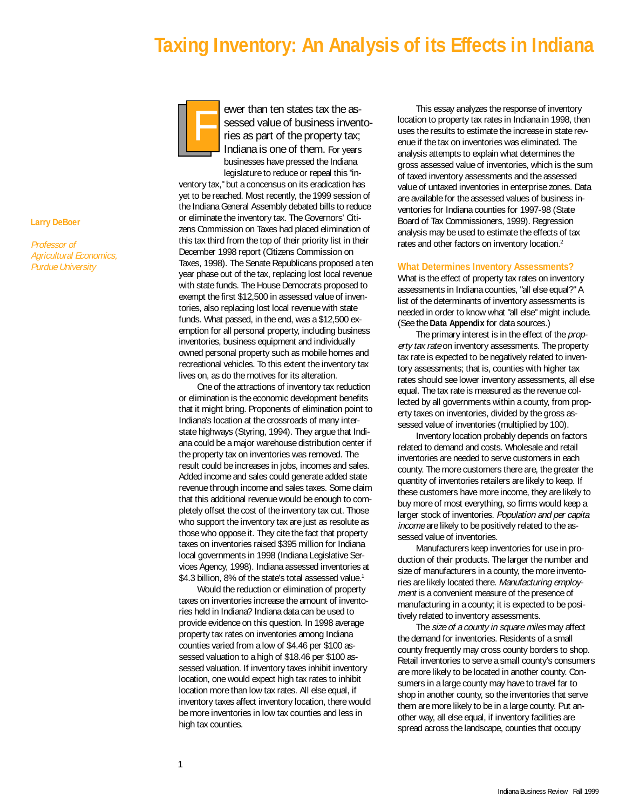# **Taxing Inventory: An Analysis of its Effects in Indiana**



ewer than ten states tax the assessed value of business inventories as part of the property tax; Indiana is one of them. For years businesses have pressed the Indiana legislature to reduce or repeal this "in-

ventory tax," but a concensus on its eradication has yet to be reached. Most recently, the 1999 session of the Indiana General Assembly debated bills to reduce or eliminate the inventory tax. The Governors' Citizens Commission on Taxes had placed elimination of this tax third from the top of their priority list in their December 1998 report (Citizens Commission on Taxes, 1998). The Senate Republicans proposed a ten year phase out of the tax, replacing lost local revenue with state funds. The House Democrats proposed to exempt the first \$12,500 in assessed value of inventories, also replacing lost local revenue with state funds. What passed, in the end, was a \$12,500 exemption for all personal property, including business inventories, business equipment and individually owned personal property such as mobile homes and recreational vehicles. To this extent the inventory tax lives on, as do the motives for its alteration.

One of the attractions of inventory tax reduction or elimination is the economic development benefits that it might bring. Proponents of elimination point to Indiana's location at the crossroads of many interstate highways (Styring, 1994). They argue that Indiana could be a major warehouse distribution center if the property tax on inventories was removed. The result could be increases in jobs, incomes and sales. Added income and sales could generate added state revenue through income and sales taxes. Some claim that this additional revenue would be enough to completely offset the cost of the inventory tax cut. Those who support the inventory tax are just as resolute as those who oppose it. They cite the fact that property taxes on inventories raised \$395 million for Indiana local governments in 1998 (Indiana Legislative Services Agency, 1998). Indiana assessed inventories at \$4.3 billion, 8% of the state's total assessed value.<sup>1</sup>

Would the reduction or elimination of property taxes on inventories increase the amount of inventories held in Indiana? Indiana data can be used to provide evidence on this question. In 1998 average property tax rates on inventories among Indiana counties varied from a low of \$4.46 per \$100 assessed valuation to a high of \$18.46 per \$100 assessed valuation. If inventory taxes inhibit inventory location, one would expect high tax rates to inhibit location more than low tax rates. All else equal, if inventory taxes affect inventory location, there would be more inventories in low tax counties and less in high tax counties.

This essay analyzes the response of inventory location to property tax rates in Indiana in 1998, then uses the results to estimate the increase in state revenue if the tax on inventories was eliminated. The analysis attempts to explain what determines the gross assessed value of inventories, which is the sum of taxed inventory assessments and the assessed value of untaxed inventories in enterprise zones. Data are available for the assessed values of business inventories for Indiana counties for 1997-98 (State Board of Tax Commissioners, 1999). Regression analysis may be used to estimate the effects of tax rates and other factors on inventory location.<sup>2</sup>

#### **What Determines Inventory Assessments?**

What is the effect of property tax rates on inventory assessments in Indiana counties, "all else equal?" A list of the determinants of inventory assessments is needed in order to know what "all else" might include. (See the **Data Appendix** for data sources.)

The primary interest is in the effect of the *prop*erty tax rate on inventory assessments. The property tax rate is expected to be negatively related to inventory assessments; that is, counties with higher tax rates should see lower inventory assessments, all else equal. The tax rate is measured as the revenue collected by all governments within a county, from property taxes on inventories, divided by the gross assessed value of inventories (multiplied by 100).

Inventory location probably depends on factors related to demand and costs. Wholesale and retail inventories are needed to serve customers in each county. The more customers there are, the greater the quantity of inventories retailers are likely to keep. If these customers have more income, they are likely to buy more of most everything, so firms would keep a larger stock of inventories. Population and per capita income are likely to be positively related to the assessed value of inventories.

Manufacturers keep inventories for use in production of their products. The larger the number and size of manufacturers in a county, the more inventories are likely located there. Manufacturing employment is a convenient measure of the presence of manufacturing in a county; it is expected to be positively related to inventory assessments.

The size of a county in square miles may affect the demand for inventories. Residents of a small county frequently may cross county borders to shop. Retail inventories to serve a small county's consumers are more likely to be located in another county. Consumers in a large county may have to travel far to shop in another county, so the inventories that serve them are more likely to be in a large county. Put another way, all else equal, if inventory facilities are spread across the landscape, counties that occupy

## **Larry DeBoer**

Professor of Agricultural Economics, Purdue University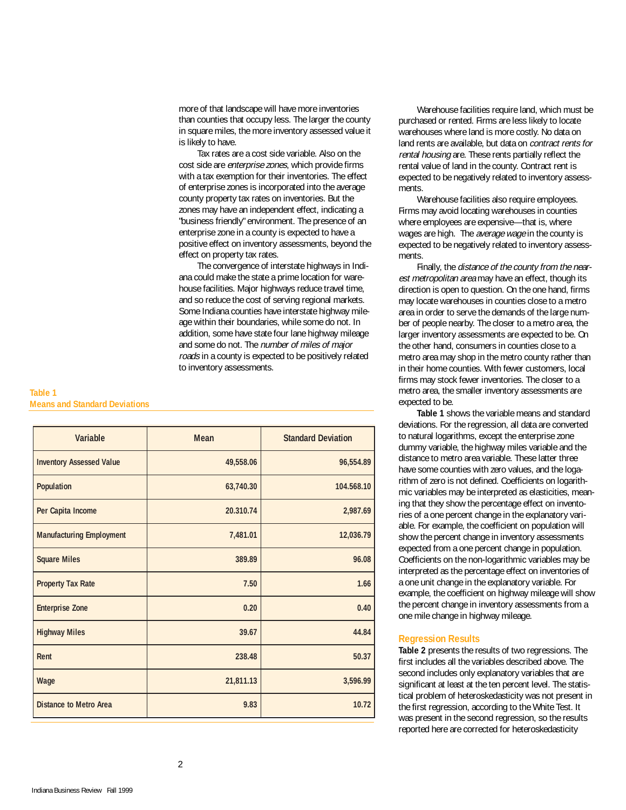more of that landscape will have more inventories than counties that occupy less. The larger the county in square miles, the more inventory assessed value it is likely to have.

Tax rates are a cost side variable. Also on the cost side are enterprise zones, which provide firms with a tax exemption for their inventories. The effect of enterprise zones is incorporated into the average county property tax rates on inventories. But the zones may have an independent effect, indicating a "business friendly" environment. The presence of an enterprise zone in a county is expected to have a positive effect on inventory assessments, beyond the effect on property tax rates.

The convergence of interstate highways in Indiana could make the state a prime location for warehouse facilities. Major highways reduce travel time, and so reduce the cost of serving regional markets. Some Indiana counties have interstate highway mileage within their boundaries, while some do not. In addition, some have state four lane highway mileage and some do not. The number of miles of major roads in a county is expected to be positively related to inventory assessments.

## **Table 1 Means and Standard Deviations**

| Variable                        | <b>Mean</b> | <b>Standard Deviation</b> |
|---------------------------------|-------------|---------------------------|
| <b>Inventory Assessed Value</b> | 49,558.06   | 96,554.89                 |
| Population                      | 63,740.30   | 104.568.10                |
| Per Capita Income               | 20.310.74   | 2,987.69                  |
| <b>Manufacturing Employment</b> | 7,481.01    | 12,036.79                 |
| <b>Square Miles</b>             | 389.89      | 96.08                     |
| <b>Property Tax Rate</b>        | 7.50        | 1.66                      |
| <b>Enterprise Zone</b>          | 0.20        | 0.40                      |
| <b>Highway Miles</b>            | 39.67       | 44.84                     |
| Rent                            | 238.48      | 50.37                     |
| Wage                            | 21,811.13   | 3,596.99                  |
| <b>Distance to Metro Area</b>   | 9.83        | 10.72                     |

Warehouse facilities require land, which must be purchased or rented. Firms are less likely to locate warehouses where land is more costly. No data on land rents are available, but data on contract rents for rental housing are. These rents partially reflect the rental value of land in the county. Contract rent is expected to be negatively related to inventory assessments.

Warehouse facilities also require employees. Firms may avoid locating warehouses in counties where employees are expensive—that is, where wages are high. The *average wage* in the county is expected to be negatively related to inventory assessments.

Finally, the distance of the county from the nearest metropolitan area may have an effect, though its direction is open to question. On the one hand, firms may locate warehouses in counties close to a metro area in order to serve the demands of the large number of people nearby. The closer to a metro area, the larger inventory assessments are expected to be. On the other hand, consumers in counties close to a metro area may shop in the metro county rather than in their home counties. With fewer customers, local firms may stock fewer inventories. The closer to a metro area, the smaller inventory assessments are expected to be.

**Table 1** shows the variable means and standard deviations. For the regression, all data are converted to natural logarithms, except the enterprise zone dummy variable, the highway miles variable and the distance to metro area variable. These latter three have some counties with zero values, and the logarithm of zero is not defined. Coefficients on logarithmic variables may be interpreted as elasticities, meaning that they show the percentage effect on inventories of a one percent change in the explanatory variable. For example, the coefficient on population will show the percent change in inventory assessments expected from a one percent change in population. Coefficients on the non-logarithmic variables may be interpreted as the percentage effect on inventories of a one unit change in the explanatory variable. For example, the coefficient on highway mileage will show the percent change in inventory assessments from a one mile change in highway mileage.

## **Regression Results**

**Table 2** presents the results of two regressions. The first includes all the variables described above. The second includes only explanatory variables that are significant at least at the ten percent level. The statistical problem of heteroskedasticity was not present in the first regression, according to the White Test. It was present in the second regression, so the results reported here are corrected for heteroskedasticity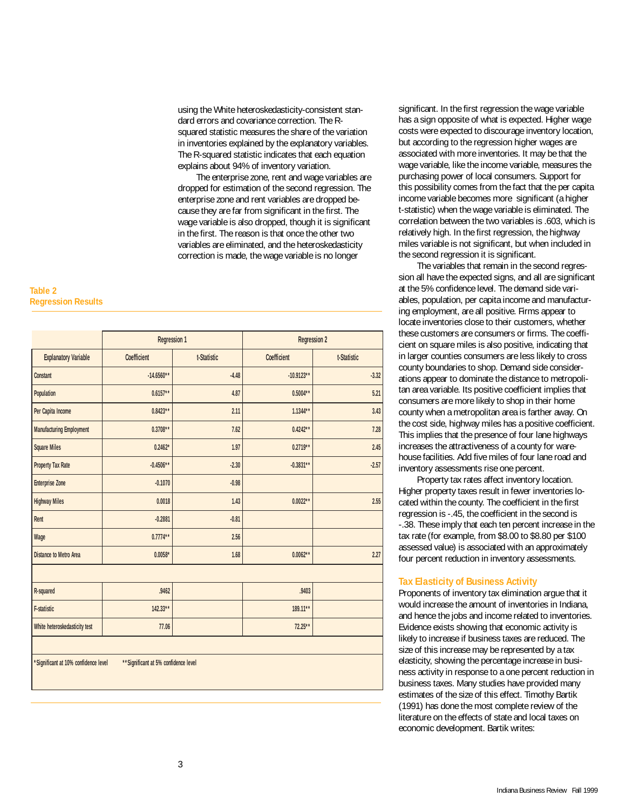using the White heteroskedasticity-consistent standard errors and covariance correction. The Rsquared statistic measures the share of the variation in inventories explained by the explanatory variables. The R-squared statistic indicates that each equation explains about 94% of inventory variation.

The enterprise zone, rent and wage variables are dropped for estimation of the second regression. The enterprise zone and rent variables are dropped because they are far from significant in the first. The wage variable is also dropped, though it is significant in the first. The reason is that once the other two variables are eliminated, and the heteroskedasticity correction is made, the wage variable is no longer

#### **Table 2 Regression Results**

|                                                                               | <b>Regression 1</b> |             | <b>Regression 2</b> |             |  |  |
|-------------------------------------------------------------------------------|---------------------|-------------|---------------------|-------------|--|--|
| <b>Explanatory Variable</b>                                                   | Coefficient         | t-Statistic | Coefficient         | t-Statistic |  |  |
| Constant                                                                      | $-14.6560**$        | $-4.48$     | $-10.9123**$        | $-3.32$     |  |  |
| Population                                                                    | $0.6157**$          | 4.87        | $0.5004**$          | 5.21        |  |  |
| Per Capita Income                                                             | $0.8423**$          | 2.11        | $1.1344**$          | 3.43        |  |  |
| <b>Manufacturing Employment</b>                                               | $0.3708**$          | 7.62        | $0.4242**$          | 7.28        |  |  |
| <b>Square Miles</b>                                                           | $0.2462*$           | 1.97        | $0.2719**$          | 2.45        |  |  |
| <b>Property Tax Rate</b>                                                      | $-0.4506**$         | $-2.30$     | $-0.3831**$         | $-2.57$     |  |  |
| <b>Enterprise Zone</b>                                                        | $-0.1070$           | $-0.98$     |                     |             |  |  |
| <b>Highway Miles</b>                                                          | 0.0018              | 1.43        | $0.0022**$          | 2.55        |  |  |
| Rent                                                                          | $-0.2881$           | $-0.81$     |                     |             |  |  |
| Wage                                                                          | $0.7774**$          | 2.56        |                     |             |  |  |
| <b>Distance to Metro Area</b>                                                 | $0.0058*$           | 1.68        | $0.0062**$          | 2.27        |  |  |
|                                                                               |                     |             |                     |             |  |  |
| R-squared                                                                     | .9462               |             | .9403               |             |  |  |
| <b>F-statistic</b>                                                            | $142.33**$          |             | 189.11**            |             |  |  |
| White heteroskedasticity test                                                 | 77.06               |             | $72.25**$           |             |  |  |
|                                                                               |                     |             |                     |             |  |  |
| *Significant at 10% confidence level<br>** Significant at 5% confidence level |                     |             |                     |             |  |  |

significant. In the first regression the wage variable has a sign opposite of what is expected. Higher wage costs were expected to discourage inventory location, but according to the regression higher wages are associated with more inventories. It may be that the wage variable, like the income variable, measures the purchasing power of local consumers. Support for this possibility comes from the fact that the per capita income variable becomes more significant (a higher t-statistic) when the wage variable is eliminated. The correlation between the two variables is .603, which is relatively high. In the first regression, the highway miles variable is not significant, but when included in the second regression it is significant.

The variables that remain in the second regression all have the expected signs, and all are significant at the 5% confidence level. The demand side variables, population, per capita income and manufacturing employment, are all positive. Firms appear to locate inventories close to their customers, whether these customers are consumers or firms. The coefficient on square miles is also positive, indicating that in larger counties consumers are less likely to cross county boundaries to shop. Demand side considerations appear to dominate the distance to metropolitan area variable. Its positive coefficient implies that consumers are more likely to shop in their home county when a metropolitan area is farther away. On the cost side, highway miles has a positive coefficient. This implies that the presence of four lane highways increases the attractiveness of a county for warehouse facilities. Add five miles of four lane road and inventory assessments rise one percent.

Property tax rates affect inventory location. Higher property taxes result in fewer inventories located within the county. The coefficient in the first regression is -.45, the coefficient in the second is -.38. These imply that each ten percent increase in the tax rate (for example, from \$8.00 to \$8.80 per \$100 assessed value) is associated with an approximately four percent reduction in inventory assessments.

# **Tax Elasticity of Business Activity**

Proponents of inventory tax elimination argue that it would increase the amount of inventories in Indiana, and hence the jobs and income related to inventories. Evidence exists showing that economic activity is likely to increase if business taxes are reduced. The size of this increase may be represented by a tax elasticity, showing the percentage increase in business activity in response to a one percent reduction in business taxes. Many studies have provided many estimates of the size of this effect. Timothy Bartik (1991) has done the most complete review of the literature on the effects of state and local taxes on economic development. Bartik writes: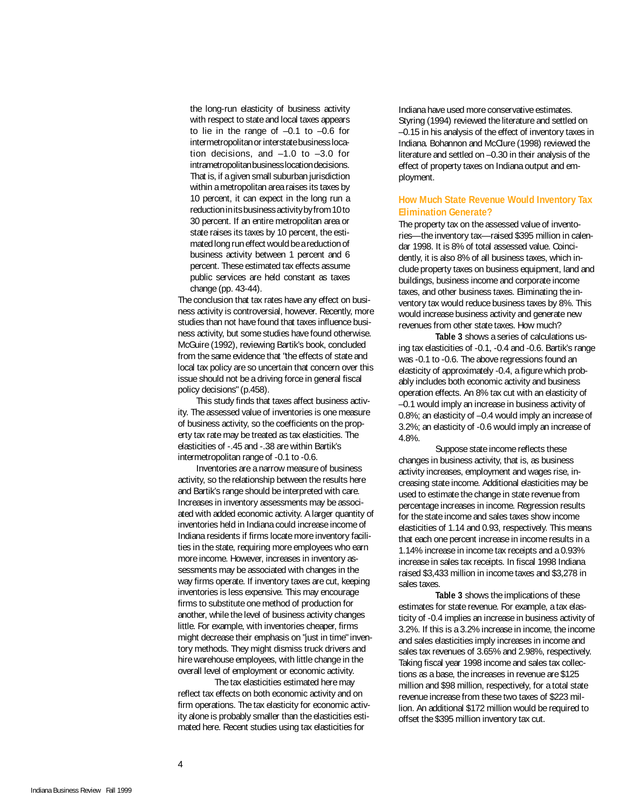th<br>w the lor<br>with re<br>to lie<br>interme the long-run elasticity of business activity with respect to state and local taxes appears to lie in the range of –0.1 to –0.6 for intermetropolitan or interstate business location decisions, and –1.0 to –3.0 for intrametropolitan business location decisions. That is, if a given small suburban jurisdiction within a metropolitan area raises its taxes by 10 percent, it can expect in the long run a reduction in its business activity by from 10 to 30 percent. If an entire metropolitan area or state raises its taxes by 10 percent, the estimated long run effect would be a reduction of business activity between 1 percent and 6 percent. These estimated tax effects assume public services are held constant as taxes change (pp. 43-44).

The conclusion that tax rates have any effect on business activity is controversial, however. Recently, more studies than not have found that taxes influence business activity, but some studies have found otherwise. McGuire (1992), reviewing Bartik's book, concluded from the same evidence that "the effects of state and local tax policy are so uncertain that concern over this issue should not be a driving force in general fiscal policy decisions" (p.458).

This study finds that taxes affect business activity. The assessed value of inventories is one measure of business activity, so the coefficients on the property tax rate may be treated as tax elasticities. The elasticities of -.45 and -.38 are within Bartik's intermetropolitan range of -0.1 to -0.6.

Inventories are a narrow measure of business activity, so the relationship between the results here and Bartik's range should be interpreted with care. Increases in inventory assessments may be associated with added economic activity. A larger quantity of inventories held in Indiana could increase income of Indiana residents if firms locate more inventory facilities in the state, requiring more employees who earn more income. However, increases in inventory assessments may be associated with changes in the way firms operate. If inventory taxes are cut, keeping inventories is less expensive. This may encourage firms to substitute one method of production for another, while the level of business activity changes little. For example, with inventories cheaper, firms might decrease their emphasis on "just in time" inventory methods. They might dismiss truck drivers and hire warehouse employees, with little change in the overall level of employment or economic activity.

The tax elasticities estimated here may reflect tax effects on both economic activity and on firm operations. The tax elasticity for economic activity alone is probably smaller than the elasticities estimated here. Recent studies using tax elasticities for

Indiana have used more conservative estimates. Styring (1994) reviewed the literature and settled on –0.15 in his analysis of the effect of inventory taxes in Indiana. Bohannon and McClure (1998) reviewed the literature and settled on –0.30 in their analysis of the effect of property taxes on Indiana output and employment.

## **How Much State Revenue Would Inventory Tax Elimination Generate?**

The property tax on the assessed value of inventories—the inventory tax—raised \$395 million in calendar 1998. It is 8% of total assessed value. Coincidently, it is also 8% of all business taxes, which include property taxes on business equipment, land and buildings, business income and corporate income taxes, and other business taxes. Eliminating the inventory tax would reduce business taxes by 8%. This would increase business activity and generate new revenues from other state taxes. How much?

**Table 3** shows a series of calculations using tax elasticities of -0.1, -0.4 and -0.6. Bartik's range was -0.1 to -0.6. The above regressions found an elasticity of approximately -0.4, a figure which probably includes both economic activity and business operation effects. An 8% tax cut with an elasticity of –0.1 would imply an increase in business activity of 0.8%; an elasticity of –0.4 would imply an increase of 3.2%; an elasticity of -0.6 would imply an increase of 4.8%.

Suppose state income reflects these changes in business activity, that is, as business activity increases, employment and wages rise, increasing state income. Additional elasticities may be used to estimate the change in state revenue from percentage increases in income. Regression results for the state income and sales taxes show income elasticities of 1.14 and 0.93, respectively. This means that each one percent increase in income results in a 1.14% increase in income tax receipts and a 0.93% increase in sales tax receipts. In fiscal 1998 Indiana raised \$3,433 million in income taxes and \$3,278 in sales taxes.

**Table 3** shows the implications of these estimates for state revenue. For example, a tax elasticity of -0.4 implies an increase in business activity of 3.2%. If this is a 3.2% increase in income, the income and sales elasticities imply increases in income and sales tax revenues of 3.65% and 2.98%, respectively. Taking fiscal year 1998 income and sales tax collections as a base, the increases in revenue are \$125 million and \$98 million, respectively, for a total state revenue increase from these two taxes of \$223 million. An additional \$172 million would be required to offset the \$395 million inventory tax cut.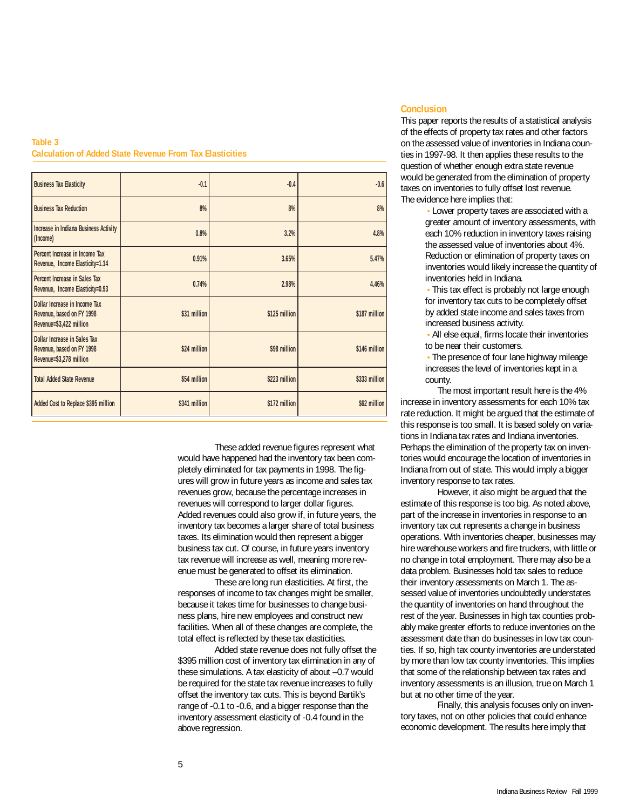## **Table 3 Calculation of Added State Revenue From Tax Elasticities**

| <b>Business Tax Elasticity</b>                                                              | $-0.1$        | $-0.4$        | $-0.6$        |
|---------------------------------------------------------------------------------------------|---------------|---------------|---------------|
| <b>Business Tax Reduction</b>                                                               | 8%            | 8%            | 8%            |
| <b>Increase in Indiana Business Activity</b><br>(Income)                                    | 0.8%          | 3.2%          | 4.8%          |
| Percent Increase in Income Tax<br>Revenue, Income Elasticity=1.14                           | 0.91%         | 3.65%         | 5.47%         |
| Percent Increase in Sales Tax<br>Revenue, Income Elasticity=0.93                            | 0.74%         | 2.98%         | 4.46%         |
| Dollar Increase in Income Tax<br>Revenue, based on FY 1998<br>Revenue=\$3,422 million       | \$31 million  | \$125 million | \$187 million |
| <b>Dollar Increase in Sales Tax</b><br>Revenue, based on FY 1998<br>Revenue=\$3,278 million | \$24 million  | \$98 million  | \$146 million |
| <b>Total Added State Revenue</b>                                                            | \$54 million  | \$223 million | \$333 million |
| Added Cost to Replace \$395 million                                                         | \$341 million | \$172 million | \$62 million  |

These added revenue figures represent what would have happened had the inventory tax been completely eliminated for tax payments in 1998. The figures will grow in future years as income and sales tax revenues grow, because the percentage increases in revenues will correspond to larger dollar figures. Added revenues could also grow if, in future years, the inventory tax becomes a larger share of total business taxes. Its elimination would then represent a bigger business tax cut. Of course, in future years inventory tax revenue will increase as well, meaning more revenue must be generated to offset its elimination.

These are long run elasticities. At first, the responses of income to tax changes might be smaller, because it takes time for businesses to change business plans, hire new employees and construct new facilities. When all of these changes are complete, the total effect is reflected by these tax elasticities.

Added state revenue does not fully offset the \$395 million cost of inventory tax elimination in any of these simulations. A tax elasticity of about –0.7 would be required for the state tax revenue increases to fully offset the inventory tax cuts. This is beyond Bartik's range of -0.1 to -0.6, and a bigger response than the inventory assessment elasticity of -0.4 found in the above regression.

# **Conclusion**

This paper reports the results of a statistical analysis of the effects of property tax rates and other factors on the assessed value of inventories in Indiana counties in 1997-98. It then applies these results to the question of whether enough extra state revenue would be generated from the elimination of property taxes on inventories to fully offset lost revenue. The evidence here implies that:

> • Lower property taxes are associated with a greater amount of inventory assessments, with each 10% reduction in inventory taxes raising the assessed value of inventories about 4%. Reduction or elimination of property taxes on inventories would likely increase the quantity of inventories held in Indiana.

• This tax effect is probably not large enough for inventory tax cuts to be completely offset by added state income and sales taxes from increased business activity.

• All else equal, firms locate their inventories to be near their customers.

• The presence of four lane highway mileage increases the level of inventories kept in a county.

The most important result here is the 4% increase in inventory assessments for each 10% tax rate reduction. It might be argued that the estimate of this response is too small. It is based solely on variations in Indiana tax rates and Indiana inventories. Perhaps the elimination of the property tax on inventories would encourage the location of inventories in Indiana from out of state. This would imply a bigger inventory response to tax rates.

However, it also might be argued that the estimate of this response is too big. As noted above, part of the increase in inventories in response to an inventory tax cut represents a change in business operations. With inventories cheaper, businesses may hire warehouse workers and fire truckers, with little or no change in total employment. There may also be a data problem. Businesses hold tax sales to reduce their inventory assessments on March 1. The assessed value of inventories undoubtedly understates the quantity of inventories on hand throughout the rest of the year. Businesses in high tax counties probably make greater efforts to reduce inventories on the assessment date than do businesses in low tax counties. If so, high tax county inventories are understated by more than low tax county inventories. This implies that some of the relationship between tax rates and inventory assessments is an illusion, true on March 1 but at no other time of the year.

Finally, this analysis focuses only on inventory taxes, not on other policies that could enhance economic development. The results here imply that